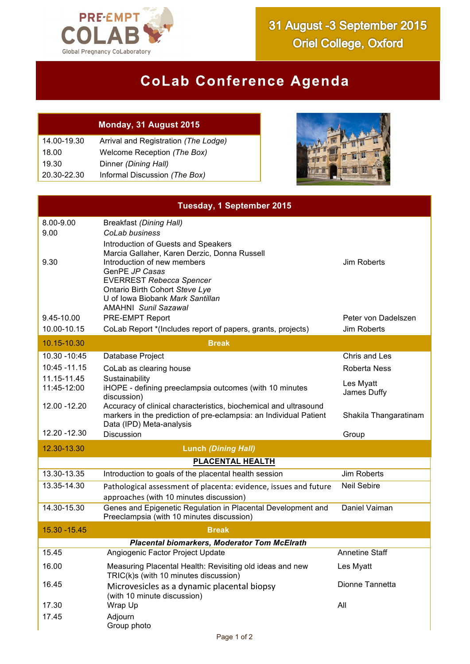

## **CoLab Conference Agenda**

## **Monday, 31 August 2015**

| 14.00-19.30 | Arrival and Registration (The Lodge) |
|-------------|--------------------------------------|
| 18.00       | Welcome Reception (The Box)          |
| 19.30       | Dinner (Dining Hall)                 |
| 20.30-22.30 | Informal Discussion (The Box)        |



| <b>Tuesday, 1 September 2015</b>                    |                                                                                                                                                                    |                          |  |  |
|-----------------------------------------------------|--------------------------------------------------------------------------------------------------------------------------------------------------------------------|--------------------------|--|--|
| 8.00-9.00<br>9.00                                   | <b>Breakfast (Dining Hall)</b><br>CoLab business                                                                                                                   |                          |  |  |
|                                                     | Introduction of Guests and Speakers                                                                                                                                |                          |  |  |
| 9.30                                                | Marcia Gallaher, Karen Derzic, Donna Russell<br>Introduction of new members<br>GenPE JP Casas<br><b>EVERREST Rebecca Spencer</b><br>Ontario Birth Cohort Steve Lye | Jim Roberts              |  |  |
|                                                     | U of Iowa Biobank Mark Santillan<br><b>AMAHNI Sunil Sazawal</b>                                                                                                    |                          |  |  |
| 9.45-10.00                                          | PRE-EMPT Report                                                                                                                                                    | Peter von Dadelszen      |  |  |
| 10.00-10.15                                         | CoLab Report *(Includes report of papers, grants, projects)                                                                                                        | Jim Roberts              |  |  |
| 10.15-10.30<br><b>Break</b>                         |                                                                                                                                                                    |                          |  |  |
| 10.30 - 10:45                                       | Database Project                                                                                                                                                   | Chris and Les            |  |  |
| 10:45 - 11.15                                       | CoLab as clearing house                                                                                                                                            | Roberta Ness             |  |  |
| 11.15-11.45<br>11:45-12:00                          | Sustainability<br>iHOPE - defining preeclampsia outcomes (with 10 minutes<br>discussion)                                                                           | Les Myatt<br>James Duffy |  |  |
| 12.00 - 12.20                                       | Accuracy of clinical characteristics, biochemical and ultrasound<br>markers in the prediction of pre-eclampsia: an Individual Patient<br>Data (IPD) Meta-analysis  | Shakila Thangaratinam    |  |  |
| 12.20 - 12.30                                       | <b>Discussion</b>                                                                                                                                                  | Group                    |  |  |
| 12.30-13.30                                         | <b>Lunch (Dining Hall)</b>                                                                                                                                         |                          |  |  |
|                                                     | PLACENTAL HEALTH                                                                                                                                                   |                          |  |  |
| 13.30-13.35                                         | Introduction to goals of the placental health session                                                                                                              | Jim Roberts              |  |  |
| 13.35-14.30                                         | Pathological assessment of placenta: evidence, issues and future<br>approaches (with 10 minutes discussion)                                                        | <b>Neil Sebire</b>       |  |  |
| 14.30-15.30                                         | Genes and Epigenetic Regulation in Placental Development and<br>Preeclampsia (with 10 minutes discussion)                                                          | Daniel Vaiman            |  |  |
| 15.30 - 15.45                                       | <b>Break</b>                                                                                                                                                       |                          |  |  |
| <b>Placental biomarkers, Moderator Tom McElrath</b> |                                                                                                                                                                    |                          |  |  |
| 15.45                                               | Angiogenic Factor Project Update                                                                                                                                   | <b>Annetine Staff</b>    |  |  |
| 16.00                                               | Measuring Placental Health: Revisiting old ideas and new<br>TRIC(k)s (with 10 minutes discussion)                                                                  | Les Myatt                |  |  |
| 16.45                                               | Microvesicles as a dynamic placental biopsy<br>(with 10 minute discussion)                                                                                         | Dionne Tannetta          |  |  |
| 17.30                                               | Wrap Up                                                                                                                                                            | All                      |  |  |
| 17.45                                               | Adjourn<br>Group photo                                                                                                                                             |                          |  |  |